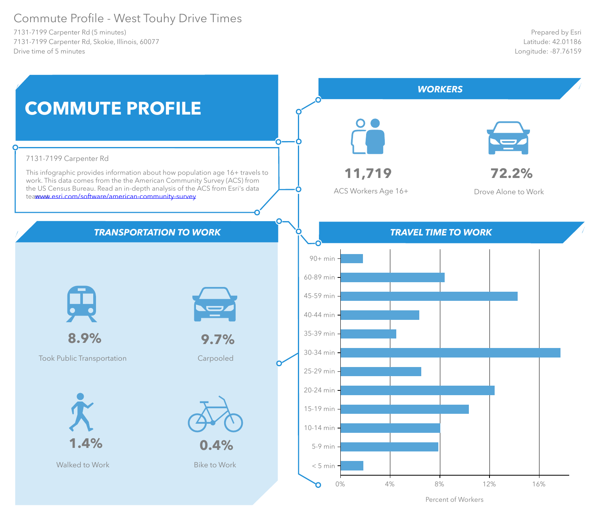#### Commute Profile - West Touhy Drive Times

7131-7199 Carpenter Rd (5 minutes) 7131-7199 Carpenter Rd, Skokie, Illinois, 60077 Drive time of 5 minutes



Percent of Workers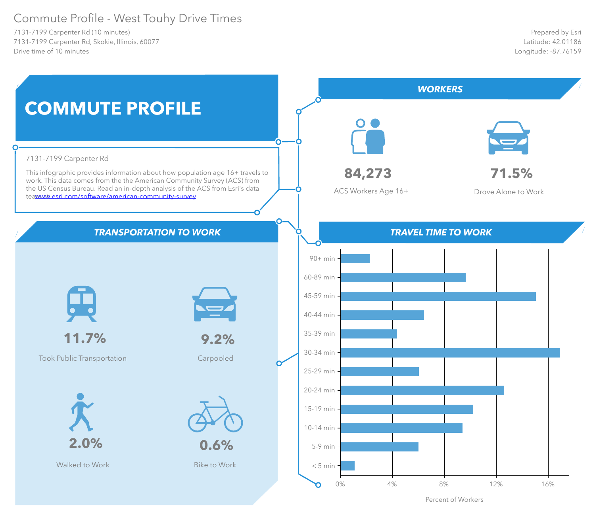#### Commute Profile - West Touhy Drive Times

7131-7199 Carpenter Rd (10 minutes) 7131-7199 Carpenter Rd, Skokie, Illinois, 60077 Drive time of 10 minutes



Percent of Workers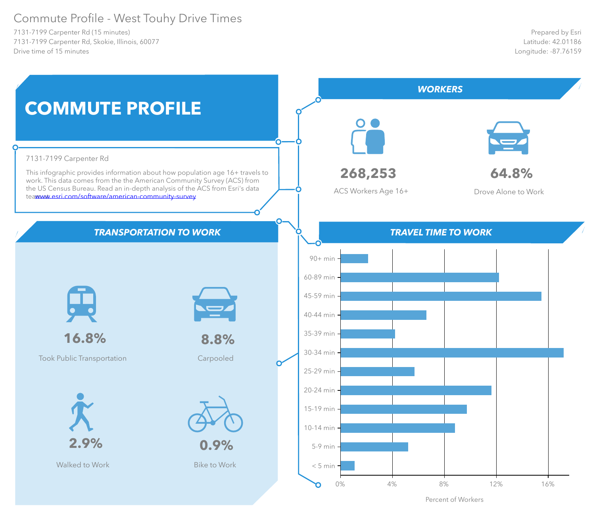#### Commute Profile - West Touhy Drive Times

7131-7199 Carpenter Rd (15 minutes) 7131-7199 Carpenter Rd, Skokie, Illinois, 60077 Drive time of 15 minutes



Percent of Workers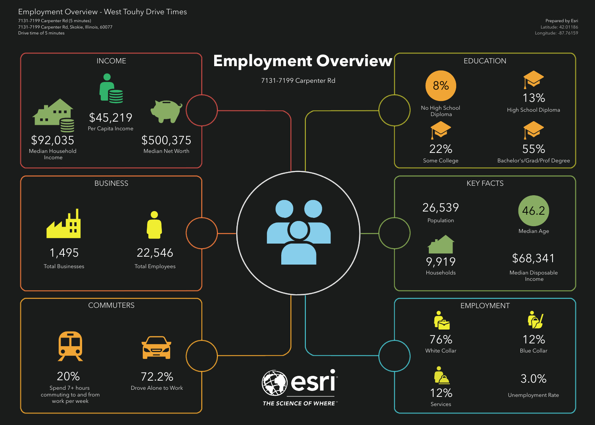7131-7199 Carpenter Rd (5 minutes) 7131-7199 Carpenter Rd, Skokie, Illinois, 60077 Drive time of 5 minutes

Employment Overview - West Touhy Drive Times

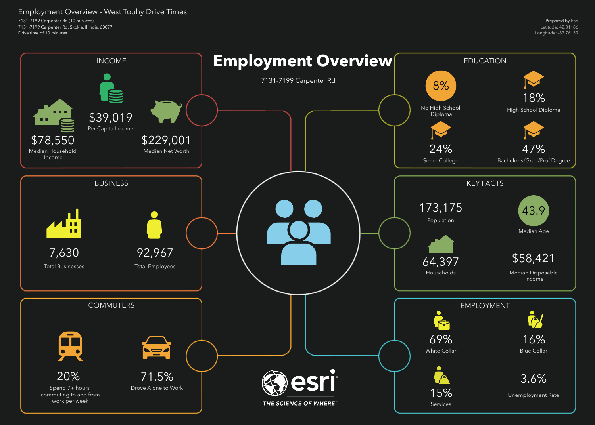7131-7199 Carpenter Rd (10 minutes) 7131-7199 Carpenter Rd, Skokie, Illinois, 60077 Drive time of 10 minutes

Employment Overview - West Touhy Drive Times

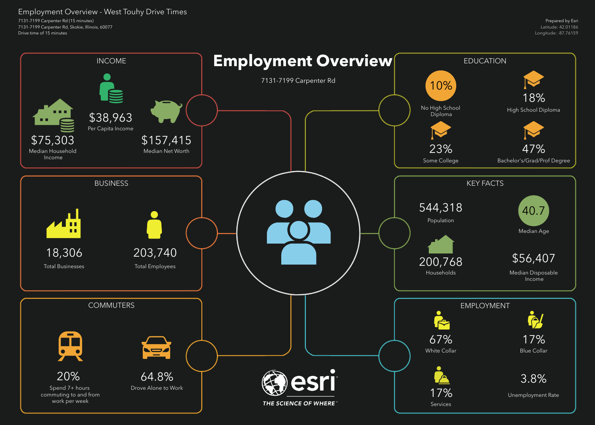7131-7199 Carpenter Rd (15 minutes) 7131-7199 Carpenter Rd, Skokie, Illinois, 60077 Drive time of 15 minutes

Employment Overview - West Touhy Drive Times

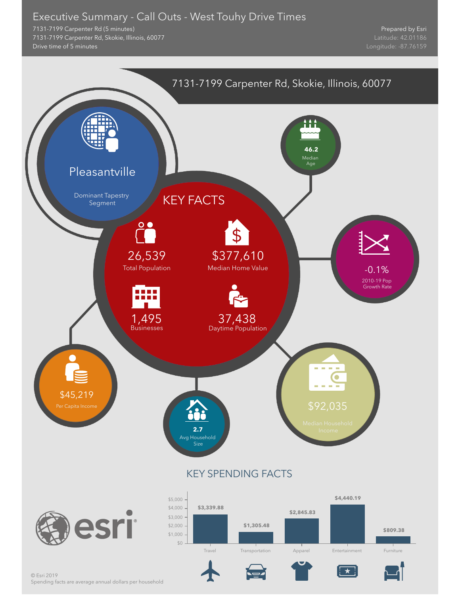#### Executive Summary - Call Outs - West Touhy Drive Times

7131-7199 Carpenter Rd (5 minutes) 7131-7199 Carpenter Rd, Skokie, Illinois, 60077 Drive time of 5 minutes

Prepared by Esri

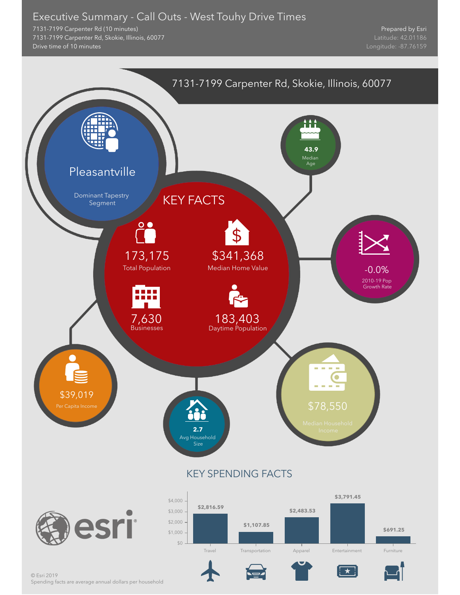#### Executive Summary - Call Outs - West Touhy Drive Times

7131-7199 Carpenter Rd (10 minutes) 7131-7199 Carpenter Rd, Skokie, Illinois, 60077 Drive time of 10 minutes

Prepared by Esri

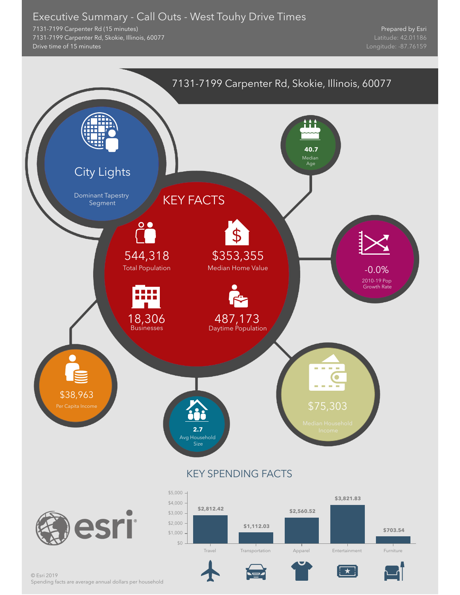#### Executive Summary - Call Outs - West Touhy Drive Times

7131-7199 Carpenter Rd (15 minutes) 7131-7199 Carpenter Rd, Skokie, Illinois, 60077 Drive time of 15 minutes

Prepared by Esri



Spending facts are average annual dollars per household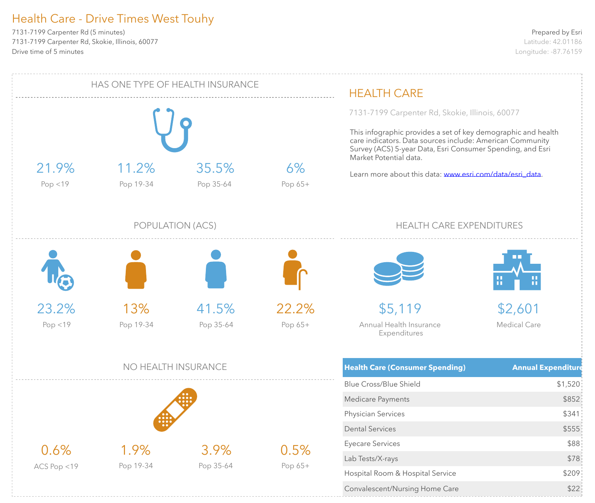7131-7199 Carpenter Rd (5 minutes) 7131-7199 Carpenter Rd, Skokie, Illinois, 60077 Drive time of 5 minutes

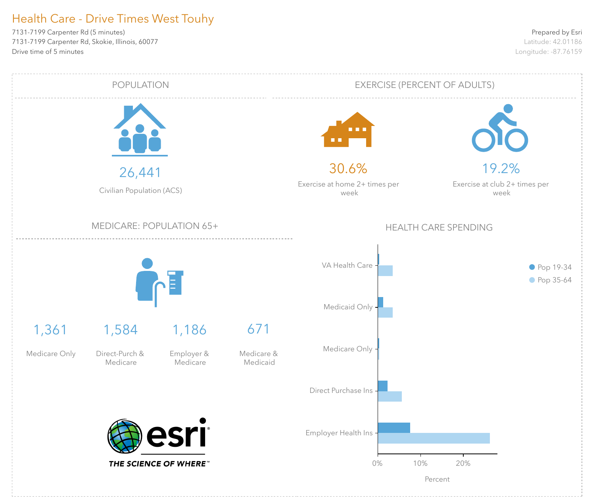7131-7199 Carpenter Rd (5 minutes) 7131-7199 Carpenter Rd, Skokie, Illinois, 60077 Drive time of 5 minutes

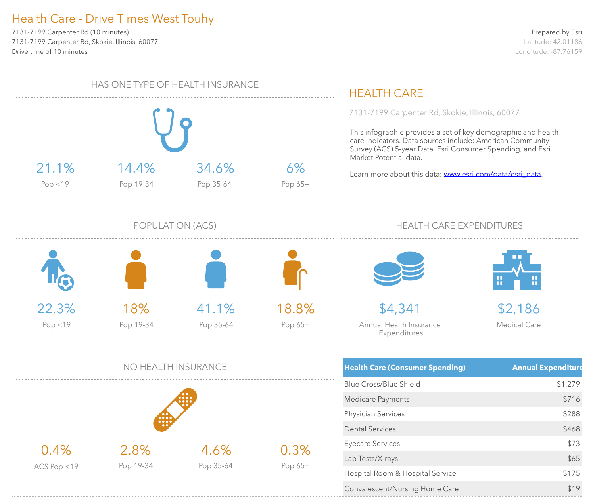7131-7199 Carpenter Rd (10 minutes) 7131-7199 Carpenter Rd, Skokie, Illinois, 60077 Drive time of 10 minutes

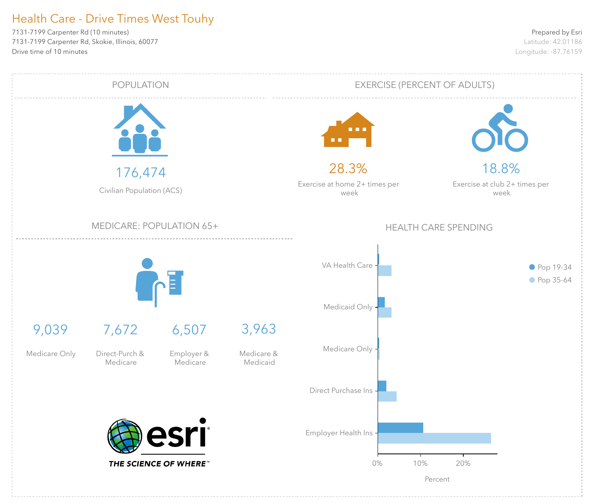7131-7199 Carpenter Rd (10 minutes) 7131-7199 Carpenter Rd, Skokie, Illinois, 60077 Drive time of 10 minutes

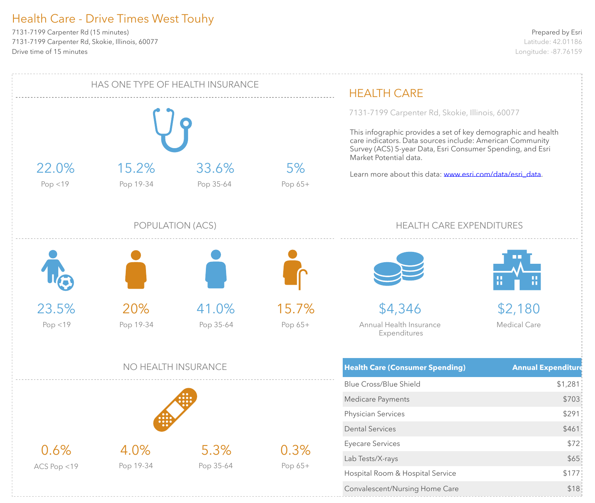7131-7199 Carpenter Rd (15 minutes) 7131-7199 Carpenter Rd, Skokie, Illinois, 60077 Drive time of 15 minutes

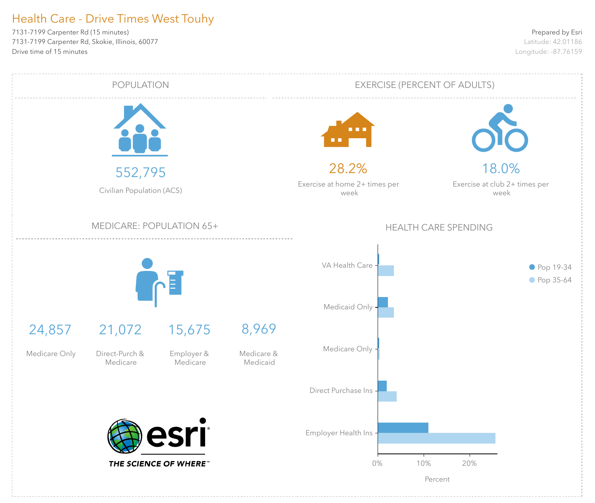7131-7199 Carpenter Rd (15 minutes) 7131-7199 Carpenter Rd, Skokie, Illinois, 60077 Drive time of 15 minutes

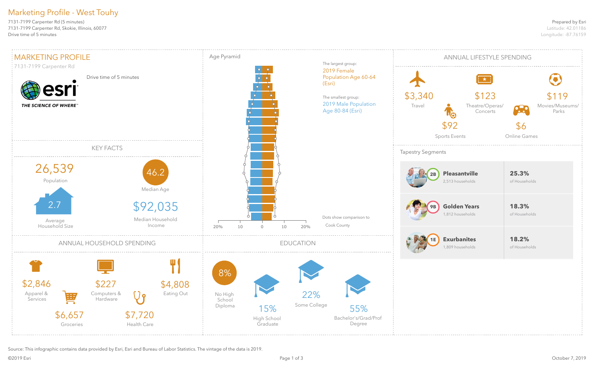#### Prepared by Esri

Latitude: 42.01186 Longitude: -87.76159

7131-7199 Carpenter Rd (5 minutes) 7131-7199 Carpenter Rd, Skokie, Illinois, 60077 Drive time of 5 minutes

Source: This infographic contains data provided by Esri, Esri and Bureau of Labor Statistics. The vintage of the data is 2019.

### Marketing Profile - West Touhy



| UAL LIFESTYLE SPENDING                                        |                                                                         |  |  |  |
|---------------------------------------------------------------|-------------------------------------------------------------------------|--|--|--|
| $\pm$ $\star$<br>\$123<br>Theatre/Operas/<br>Concerts<br>ents | \$119<br>Movies/Museums/<br><b>Pack</b><br>Parks<br>\$6<br>Online Games |  |  |  |
| antville<br>puseholds                                         | 25.3%<br>of Households                                                  |  |  |  |
| en Years<br>puseholds<br><b>panites</b><br>puseholds          | 18.3%<br>of Households<br>18.2%<br>of Households                        |  |  |  |
|                                                               |                                                                         |  |  |  |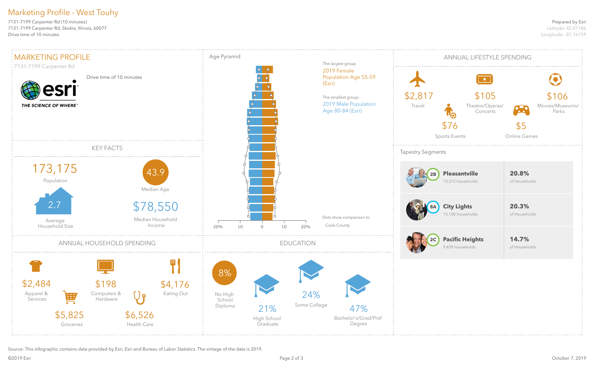#### Prepared by Esri

Latitude: 42.01186 Longitude: -87.76159

7131-7199 Carpenter Rd (10 minutes) 7131-7199 Carpenter Rd, Skokie, Illinois, 60077 Drive time of 10 minutes

Source: This infographic contains data provided by Esri, Esri and Bureau of Labor Statistics. The vintage of the data is 2019.

### Marketing Profile - West Touhy



| UAL LIFESTYLE SPENDING               |                        |                                   |  |  |
|--------------------------------------|------------------------|-----------------------------------|--|--|
| $\pm \star \pm$                      |                        |                                   |  |  |
| \$105<br>Theatre/Operas/<br>Concerts | Ж                      | \$106<br>Movies/Museums/<br>Parks |  |  |
| ents                                 | \$5<br>Online Games    |                                   |  |  |
|                                      |                        |                                   |  |  |
| antville<br>households               | 20.8%<br>of Households |                                   |  |  |
| .ights<br>households                 | 20.3%<br>of Households |                                   |  |  |
| ic Heights<br>puseholds              | 14.7%<br>of Households |                                   |  |  |
|                                      |                        |                                   |  |  |
|                                      |                        |                                   |  |  |
|                                      |                        |                                   |  |  |
|                                      |                        |                                   |  |  |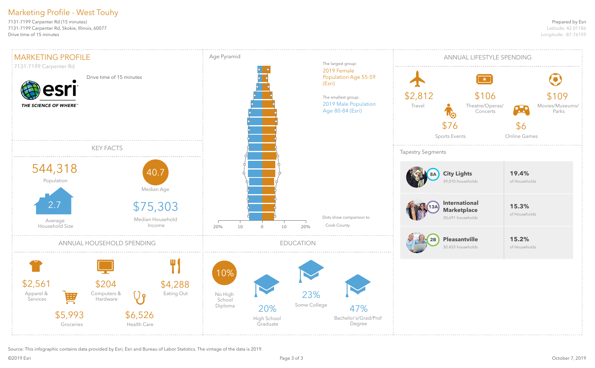#### Prepared by Esri

Latitude: 42.01186 Longitude: -87.76159

7131-7199 Carpenter Rd (15 minutes) 7131-7199 Carpenter Rd, Skokie, Illinois, 60077 Drive time of 15 minutes

Source: This infographic contains data provided by Esri, Esri and Bureau of Labor Statistics. The vintage of the data is 2019.

### Marketing Profile - West Touhy

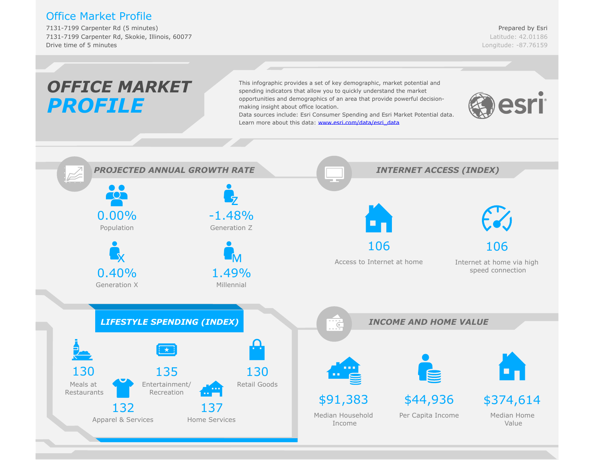#### Office Market Profile

7131-7199 Carpenter Rd (5 minutes) 7131-7199 Carpenter Rd, Skokie, Illinois, 60077 Drive time of 5 minutes

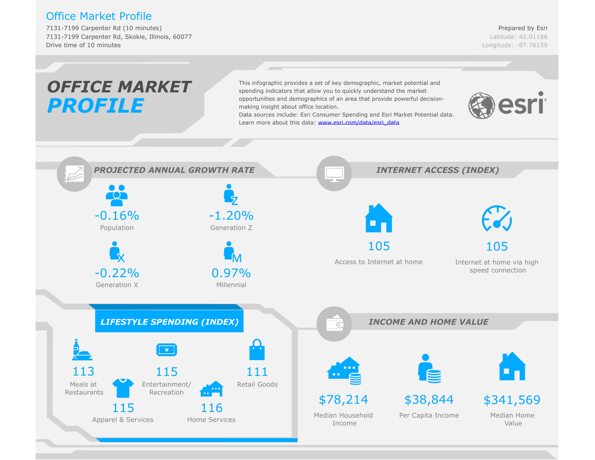#### Office Market Profile

7131-7199 Carpenter Rd (10 minutes) 7131-7199 Carpenter Rd, Skokie, Illinois, 60077 Drive time of 10 minutes

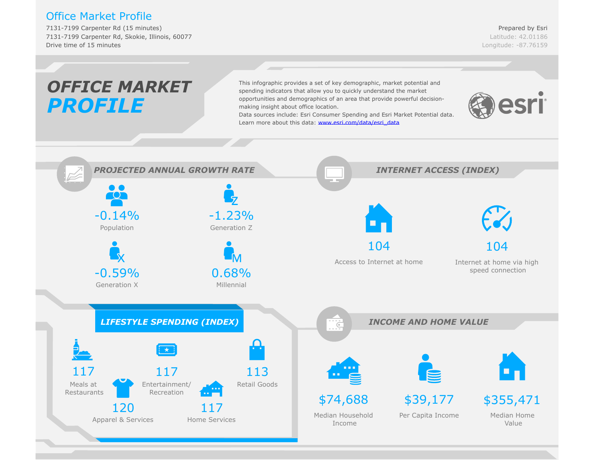#### Office Market Profile

7131-7199 Carpenter Rd (15 minutes) 7131-7199 Carpenter Rd, Skokie, Illinois, 60077 Drive time of 15 minutes

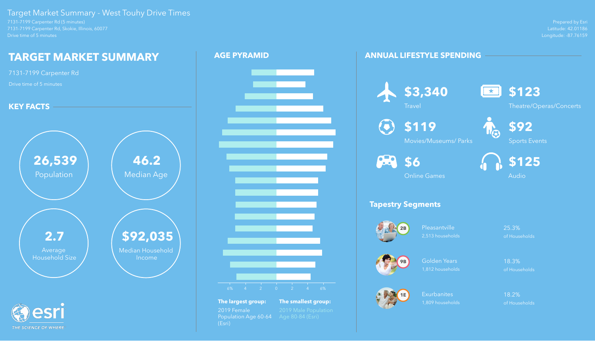Prepared by Esri Latitude: 42.01186 Longitude: -87.76159

7131-7199 Carpenter Rd (5 minutes) 7131-7199 Carpenter Rd, Skokie, Illinois, 60077 Drive time of 5 minutes

> Pleasantville 25.3% 2,513 households of Households

#### Target Market Summary - West Touhy Drive Times

Golden Years 18.3% 1,812 households of Households

Exurbanites 18.2% 1,809 households of Households

#### **ANNUAL LIFESTYLE SPENDING**



#### **Tapestry Segments**







# **\$3,340**



**Travel** 





Theatre/Operas/Concerts



**\$119** Movies/Museums/ Parks

**88** \$6



Sports Events



Online Games



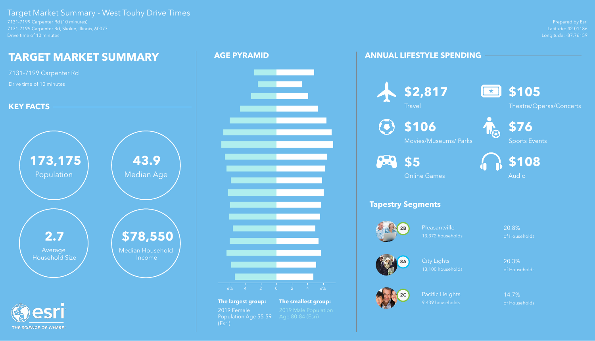Prepared by Esri Latitude: 42.01186 Longitude: -87.76159

7131-7199 Carpenter Rd (10 minutes) 7131-7199 Carpenter Rd, Skokie, Illinois, 60077 Drive time of 10 minutes

THE SCIENCE OF WHERE

Pleasantville 20.8% 13,372 households of Households

#### Target Market Summary - West Touhy Drive Times

Pacific Heights 14.7% 9,439 households of Households

#### **ANNUAL LIFESTYLE SPENDING**



#### **Tapestry Segments**

#### **\$106**  $\left( \bullet \right)$





City Lights 20.3% 13,100 households of Households



**\$2,817**

**Travel** 





Theatre/Operas/Concerts



Movies/Museums/ Parks



Sports Events



Online Games



- **The largest group: The smallest group:** 2019 Female 2019 Male Population<br>Population Age 55-59 Age 80-84 (Esri) Population Age 55-59 (Esri)
	-